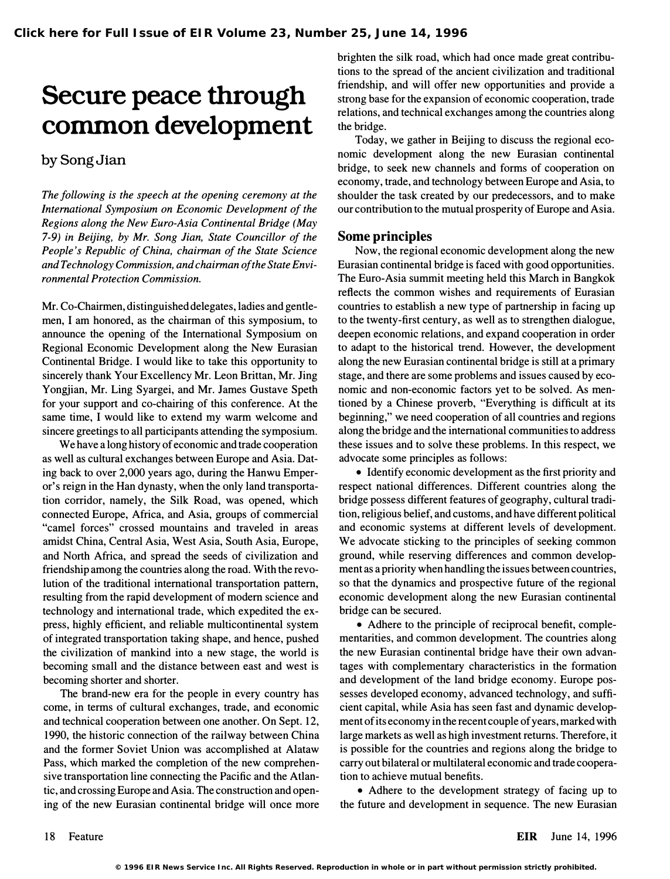# Secure peace through common development

## bySongJian

The following is the speech at the opening ceremony at the International Symposium on Economic Development of the Regions along the New Euro-Asia Continental Bridge (May 7-9) in Beijing, by Mr. Song Jian, State Councillor of the People's Republic of China, chairman of the State Science and Technology Commission, and chairman of the State Environmental Protection Commission.

Mr. Co-Chairmen, distinguished delegates, ladies and gentlemen, I am honored, as the chairman of this symposium, to announce the opening of the International Symposium on Regional Economic Development along the New Eurasian Continental Bridge. I would like to take this opportunity to sincerely thank Your Excellency Mr. Leon Brittan, Mr. Jing Yongjian, Mr. Ling Syargei, and Mr. James Gustave Speth for your support and co-chairing of this conference. At the same time, I would like to extend my warm welcome and sincere greetings to all participants attending the symposium.

We have a long history of economic and trade cooperation as well as cultural exchanges between Europe and Asia. Dating back to over 2,000 years ago, during the Hanwu Emperor's reign in the Han dynasty, when the only land transportation corridor, namely, the Silk Road, was opened, which connected Europe, Africa, and Asia, groups of commercial "camel forces" crossed mountains and traveled in areas amidst China, Central Asia, West Asia, South Asia, Europe, and North Africa, and spread the seeds of civilization and friendship among the countries along the road. With the revolution of the traditional international transportation pattern, resulting from the rapid development of modem science and technology and international trade, which expedited the express, highly efficient, and reliable multicontinental system of integrated transportation taking shape, and hence, pushed the civilization of mankind into a new stage, the world is becoming small and the distance between east and west is becoming shorter and shorter.

The brand-new era for the people in every country has come, in terms of cultural exchanges, trade, and economic and technical cooperation between one another. On Sept. 12, 1990, the historic connection of the railway between China and the former Soviet Union was accomplished at Alataw Pass, which marked the completion of the new comprehensive transportation line connecting the Pacific and the Atlantic, and crossing Europe and Asia. The construction and opening of the new Eurasian continental bridge will once more brighten the silk road, which had once made great contributions to the spread of the ancient civilization and traditional friendship, and will offer new opportunities and provide a strong base for the expansion of economic cooperation, trade relations, and technical exchanges among the countries along the bridge.

Today, we gather in Beijing to discuss the regional economic development along the new Eurasian continental bridge, to seek new channels and forms of cooperation on economy, trade, and technology between Europe and Asia, to shoulder the task created by our predecessors, and to make our contribution to the mutual prosperity of Europe and Asia.

#### Some principles

Now, the regional economic development along the new Eurasian continental bridge is faced with good opportunities. The Euro-Asia summit meeting held this March in Bangkok reflects the common wishes and requirements of Eurasian countries to establish a new type of partnership in facing up to the twenty-first century, as well as to strengthen dialogue, deepen economic relations, and expand cooperation in order to adapt to the historical trend. However, the development along the new Eurasian continental bridge is still at a primary stage, and there are some problems and issues caused by economic and non-economic factors yet to be solved. As mentioned by a Chinese proverb, "Everything is difficult at its beginning," we need cooperation of all countries and regions along the bridge and the international communities to address these issues and to solve these problems. In this respect, we advocate some principles as follows:

• Identify economic development as the first priority and respect national differences. Different countries along the bridge possess different features of geography, cultural tradition, religious belief, and customs, and have different political and economic systems at different levels of development. We advocate sticking to the principles of seeking common ground, while reserving differences and common development as a priority when handling the issues between countries, so that the dynamics and prospective future of the regional economic development along the new Eurasian continental bridge can be secured.

• Adhere to the principle of reciprocal benefit, complementarities, and common development. The countries along the new Eurasian continental bridge have their own advantages with complementary characteristics in the formation and development of the land bridge economy. Europe possesses developed economy, advanced technology, and sufficient capital, while Asia has seen fast and dynamic development of its economy in the recent couple of years, marked with large markets as well as high investment returns. Therefore, it is possible for the countries and regions along the bridge to carry out bilateral or multilateral economic and trade cooperation to achieve mutual benefits.

• Adhere to the development strategy of facing up to the future and development in sequence. The new Eurasian